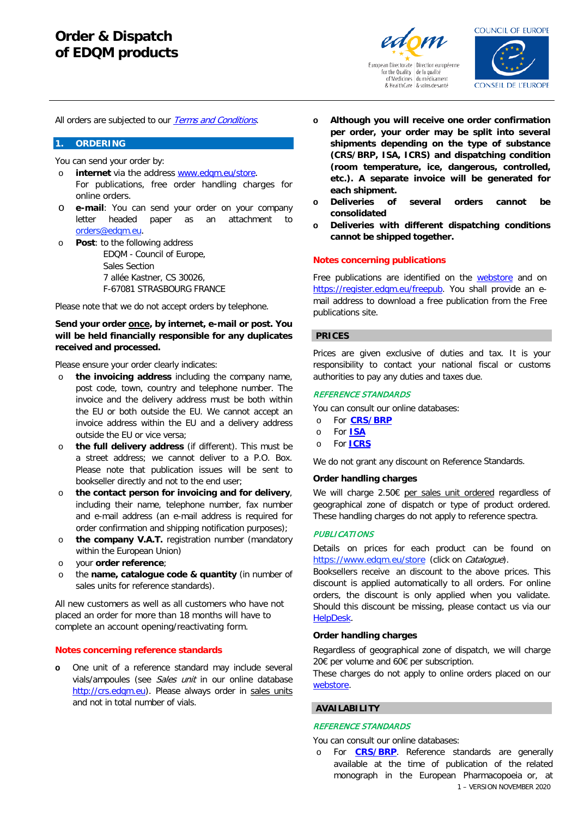



**CONSEIL DE L'EUROPE** 

All orders are subjected to our **[Terms and Conditions](https://go.edqm.eu/GTCS)**.

#### **1. ORDERING**

You can send your order by:

- o **internet** via the address [www.edqm.eu/store](http://www.edqm.eu/store).
- For publications, free order handling charges for online orders.
- o **e-mail**: You can send your order on your company letter headed paper as an attachment to [orders@edqm.eu](mailto:orders@edqm.eu).
- o **Post**: to the following address EDQM - Council of Europe, Sales Section 7 allée Kastner, CS 30026, F-67081 STRASBOURG FRANCE

Please note that we do not accept orders by telephone.

## **Send your order once, by internet, e-mail or post. You will be held financially responsible for any duplicates received and processed.**

Please ensure your order clearly indicates:

- o **the invoicing address** including the company name, post code, town, country and telephone number. The invoice and the delivery address must be both within the EU or both outside the EU. We cannot accept an invoice address within the EU and a delivery address outside the EU or vice versa;
- o **the full delivery address** (if different). This must be a street address; we cannot deliver to a P.O. Box. Please note that publication issues will be sent to bookseller directly and not to the end user;
- o **the contact person for invoicing and for delivery**, including their name, telephone number, fax number and e-mail address (an e-mail address is required for order confirmation and shipping notification purposes);
- o **the company V.A.T.** registration number (mandatory within the European Union)
- o your **order reference**;
- o the **name, catalogue code & quantity** (in number of sales units for reference standards).

All new customers as well as all customers who have not placed an order for more than 18 months will have to complete an account opening/reactivating form.

#### **Notes concerning reference standards**

**o** One unit of a reference standard may include several vials/ampoules (see Sales unit in our online database [http://crs.edqm.eu\)](http://crs.edqm.eu/). Please always order in sales units and not in total number of vials.

- **o Although you will receive one order confirmation per order, your order may be split into several shipments depending on the type of substance (CRS/BRP, ISA, ICRS) and dispatching condition (room temperature, ice, dangerous, controlled, etc.). A separate invoice will be generated for each shipment.**
- **o Deliveries of several orders cannot be consolidated**
- **o Deliveries with different dispatching conditions cannot be shipped together.**

#### **Notes concerning publications**

Free publications are identified on the [webstore](http://www.edqm.eu/store) and on [https://register.edqm.eu/freepub.](https://register.edqm.eu/freepub) You shall provide an email address to download a free publication from the Free publications site.

#### **PRICES**

Prices are given exclusive of duties and tax. It is your responsibility to contact your national fiscal or customs authorities to pay any duties and taxes due.

#### REFERENCE STANDARDS

You can consult our online databases:

- o For **[CRS/BRP](http://crs.edqm.eu/)**
- o For **[ISA](https://crs.edqm.eu/db/4DCGI/search?vSelectName=4&vContains=1&vtUserName=ISA&OK=Search)**
- o For **[ICRS](https://crs.edqm.eu/db/index.icrs.html)**

We do not grant any discount on Reference Standards.

## **Order handling charges**

We will charge 2.50€ per sales unit ordered regardless of geographical zone of dispatch or type of product ordered. These handling charges do not apply to reference spectra.

# **PUBLICATIONS**

Details on prices for each product can be found on https:/[/www.edqm.eu/store](http://www.edqm.eu/store) (click on Catalogue).

Booksellers receive an discount to the above prices. This discount is applied automatically to all orders. For online orders, the discount is only applied when you validate. Should this discount be missing, please contact us via our [HelpDesk.](https://go.edqm.eu/HDpubs)

#### **Order handling charges**

Regardless of geographical zone of dispatch, we will charge 20€ per volume and 60€ per subscription.

These charges do not apply to online orders placed on our [webstore.](http://www.edqm.eu/store)

## **AVAILABILITY**

#### REFERENCE STANDARDS

You can consult our online databases:

1 – VERSION NOVEMBER 2020 o For **[CRS/BRP](http://crs.edqm.eu/)**. Reference standards are generally available at the time of publication of the related monograph in the European Pharmacopoeia or, at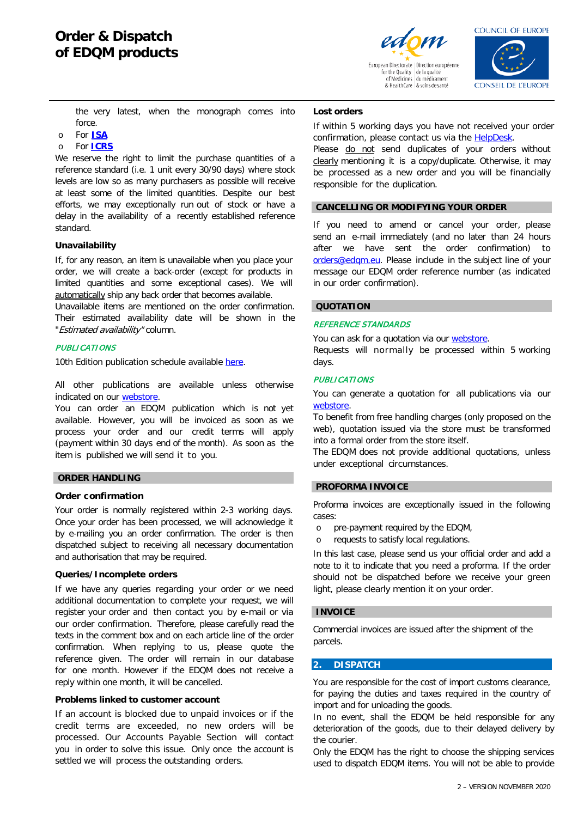

for the Quality de la qualité<br>of Medicines du médicamen & HealthCare | & soins de santé



the very latest, when the monograph comes into force.

- o For **[ISA](https://crs.edqm.eu/db/4DCGI/search?vSelectName=4&vContains=1&vtUserName=ISA&OK=Search)**
- o For **[ICRS](https://crs.edqm.eu/db/index.icrs.html)**

We reserve the right to limit the purchase quantities of a reference standard (i.e. 1 unit every 30/90 days) where stock levels are low so as many purchasers as possible will receive at least some of the limited quantities. Despite our best efforts, we may exceptionally run out of stock or have a delay in the availability of a recently established reference standard.

## **Unavailability**

If, for any reason, an item is unavailable when you place your order, we will create a back-order (except for products in limited quantities and some exceptional cases). We will automatically ship any back order that becomes available.

Unavailable items are mentioned on the order confirmation. Their estimated availability date will be shown in the "Estimated availability" column.

## **PUBLICATIONS**

10th Edition publication schedule available [here.](https://www.edqm.eu/fr/Pharmacopee_Europeenne_10e_Edition)

All other publications are available unless otherwise indicated on our [webstore.](http://www.edqm.eu/store)

You can order an EDQM publication which is not yet available. However, you will be invoiced as soon as we process your order and our credit terms will apply (payment within 30 days end of the month). As soon as the item is published we will send it to you.

# **ORDER HANDLING**

## **Order confirmation**

Your order is normally registered within 2-3 working days. Once your order has been processed, we will acknowledge it by e-mailing you an order confirmation. The order is then dispatched subject to receiving all necessary documentation and authorisation that may be required.

#### **Queries/Incomplete orders**

If we have any queries regarding your order or we need additional documentation to complete your request, we will register your order and then contact you by e-mail or via our order confirmation. Therefore, please carefully read the texts in the comment box and on each article line of the order confirmation. When replying to us, please quote the reference given. The order will remain in our database for one month. However if the EDQM does not receive a reply within one month, it will be cancelled.

### **Problems linked to customer account**

If an account is blocked due to unpaid invoices or if the credit terms are exceeded, no new orders will be processed. Our Accounts Payable Section will contact you in order to solve this issue. Only once the account is settled we will process the outstanding orders.

## **Lost orders**

If within 5 working days you have not received your order confirmation, please contact us via the **HelpDesk**.

Please do not send duplicates of your orders without clearly mentioning it is a copy/duplicate. Otherwise, it may be processed as a new order and you will be financially responsible for the duplication.

## **CANCELLING OR MODIFYING YOUR ORDER**

If you need to amend or cancel your order, please send an e-mail immediately (and no later than 24 hours after we have sent the order confirmation) to [orders@edqm.eu.](mailto:orders@edqm.eu) Please include in the subject line of your message our EDQM order reference number (as indicated in our order confirmation).

#### **QUOTATION**

## REFERENCE STANDARDS

You can ask for a quotation via our [webstore.](http://www.edqm.eu/store)

Requests will normally be processed within 5 working days.

## **PUBLICATIONS**

You can generate a quotation for all publications via our [webstore.](http://www.edqm.eu/store)

To benefit from free handling charges (only proposed on the web), quotation issued via the store must be transformed into a formal order from the store itself.

The EDQM does not provide additional quotations, unless under exceptional circumstances.

### **PROFORMA INVOICE**

Proforma invoices are exceptionally issued in the following cases:

- o pre-payment required by the EDQM,
- o requests to satisfy local regulations.

In this last case, please send us your official order and add a note to it to indicate that you need a proforma. If the order should not be dispatched before we receive your green light, please clearly mention it on your order.

#### **INVOICE**

Commercial invoices are issued after the shipment of the parcels.

## **2. DISPATCH**

You are responsible for the cost of import customs clearance, for paying the duties and taxes required in the country of import and for unloading the goods.

In no event, shall the EDQM be held responsible for any deterioration of the goods, due to their delayed delivery by the courier.

Only the EDQM has the right to choose the shipping services used to dispatch EDQM items. You will not be able to provide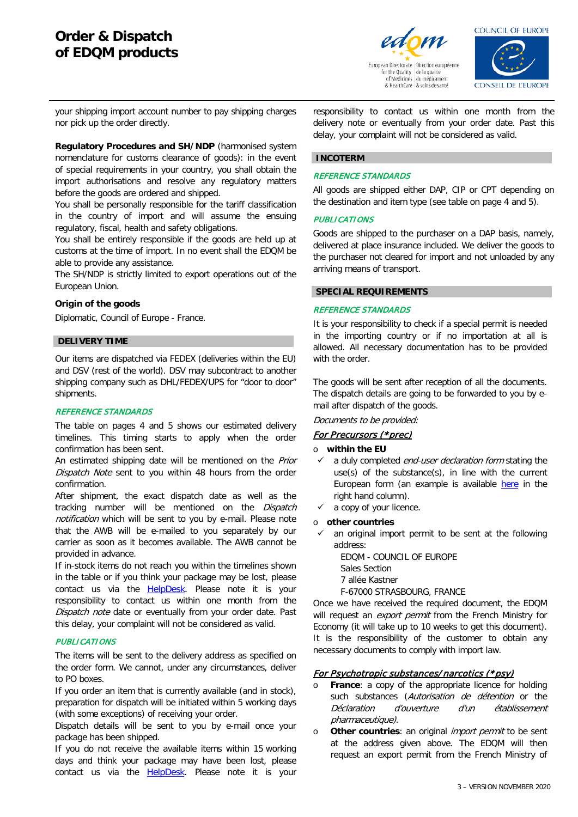

& HealthCare | & soins de santé

**COUNCIL OF EUROPE** 

**CONSEIL DE L'EUROPE** 

your shipping import account number to pay shipping charges nor pick up the order directly.

**Regulatory Procedures and SH/NDP** (harmonised system nomenclature for customs clearance of goods): in the event of special requirements in your country, you shall obtain the import authorisations and resolve any regulatory matters before the goods are ordered and shipped.

You shall be personally responsible for the tariff classification in the country of import and will assume the ensuing regulatory, fiscal, health and safety obligations.

You shall be entirely responsible if the goods are held up at customs at the time of import. In no event shall the EDQM be able to provide any assistance.

The SH/NDP is strictly limited to export operations out of the European Union.

## **Origin of the goods**

Diplomatic, Council of Europe - France.

## **DELIVERY TIME**

Our items are dispatched via FEDEX (deliveries within the EU) and DSV (rest of the world). DSV may subcontract to another shipping company such as DHL/FEDEX/UPS for "door to door" shipments.

### REFERENCE STANDARDS

The table on pages 4 and 5 shows our estimated delivery timelines. This timing starts to apply when the order confirmation has been sent.

An estimated shipping date will be mentioned on the Prior Dispatch Note sent to you within 48 hours from the order confirmation.

After shipment, the exact dispatch date as well as the tracking number will be mentioned on the Dispatch notification which will be sent to you by e-mail. Please note that the AWB will be e-mailed to you separately by our carrier as soon as it becomes available. The AWB cannot be provided in advance.

If in-stock items do not reach you within the timelines shown in the table or if you think your package may be lost, please contact us via the **[HelpDesk](https://go.edqm.eu/HDpubs)**. Please note it is your responsibility to contact us within one month from the Dispatch note date or eventually from your order date. Past this delay, your complaint will not be considered as valid.

#### **PUBLICATIONS**

The items will be sent to the delivery address as specified on the order form. We cannot, under any circumstances, deliver to PO boxes.

If you order an item that is currently available (and in stock), preparation for dispatch will be initiated within 5 working days (with some exceptions) of receiving your order.

Dispatch details will be sent to you by e-mail once your package has been shipped.

If you do not receive the available items within 15 working days and think your package may have been lost, please contact us via the **HelpDesk**. Please note it is your

responsibility to contact us within one month from the delivery note or eventually from your order date. Past this delay, your complaint will not be considered as valid.

## **INCOTERM**

## REFERENCE STANDARDS

All goods are shipped either DAP, CIP or CPT depending on the destination and item type (see table on page 4 and 5).

## **PUBLICATIONS**

Goods are shipped to the purchaser on a DAP basis, namely, delivered at place insurance included. We deliver the goods to the purchaser not cleared for import and not unloaded by any arriving means of transport.

## **SPECIAL REQUIREMENTS**

#### REFERENCE STANDARDS

It is your responsibility to check if a special permit is needed in the importing country or if no importation at all is allowed. All necessary documentation has to be provided with the order.

The goods will be sent after reception of all the documents. The dispatch details are going to be forwarded to you by email after dispatch of the goods.

Documents to be provided:

#### For Precursors (\*prec)

#### o **within the EU**

- $\checkmark$  a duly completed *end-user declaration form* stating the use(s) of the substance(s), in line with the current European form (an example is available [here](https://www.edqm.eu/en/ph-eur-reference-standards-orders-catalogue) in the right hand column).
- $\checkmark$  a copy of your licence.
- o **other countries**
- $\checkmark$  an original import permit to be sent at the following address:

EDQM - COUNCIL OF EUROPE Sales Section 7 allée Kastner

F-67000 STRASBOURG, FRANCE

Once we have received the required document, the EDQM will request an *export permit* from the French Ministry for Economy (it will take up to 10 weeks to get this document). It is the responsibility of the customer to obtain any necessary documents to comply with import law.

## For Psychotropic substances/ narcotics (\*psy)

- **France:** a copy of the appropriate licence for holding such substances (Autorisation de détention or the Déclaration d'ouverture d'un établissement pharmaceutique).
- Other countries: an original *import permit* to be sent at the address given above. The EDQM will then request an export permit from the French Ministry of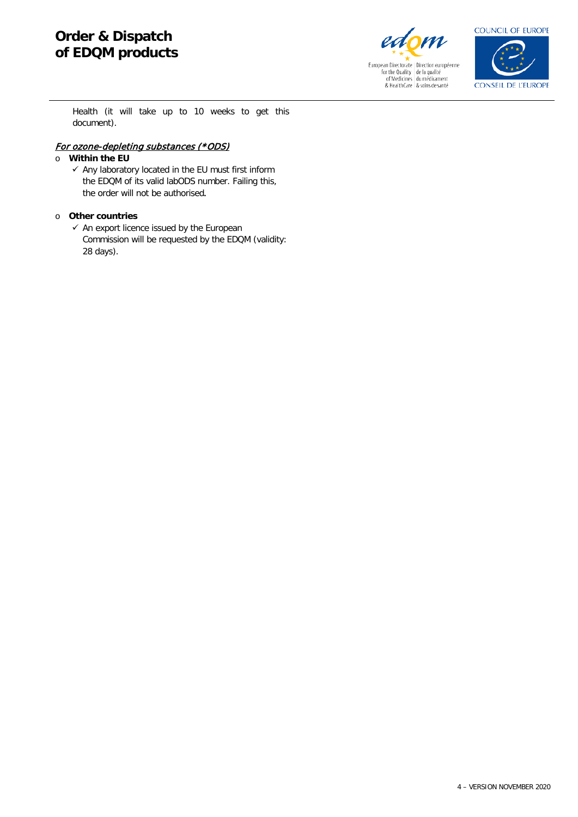

European Directorate | Direction européenne<br>
for the Quality | de la qualité<br>
of Medicines | du médicament<br>
& HealthCare | & soins de santé



Health (it will take up to 10 weeks to get this document).

# For ozone-depleting substances (\*ODS)

# o **Within the EU**

 $\checkmark$  Any laboratory located in the EU must first inform the EDQM of its valid labODS number. Failing this, the order will not be authorised*.*

## o **Other countries**

 $\checkmark$  An export licence issued by the European Commission will be requested by the EDQM (validity: 28 days).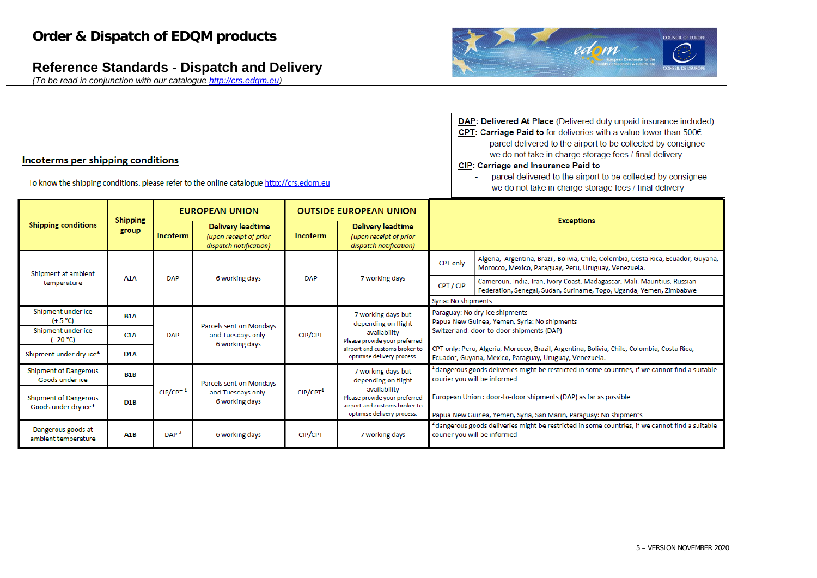# **Reference Standards - Dispatch and Delivery**

*(To be read in conjunction with our catalogue [http://crs.edqm.eu\)](http://crs.edqm.eu/)*



| <b>DAP: Delivered At Place (Delivered duty unpaid insurance included)</b> |
|---------------------------------------------------------------------------|
| CPT: Carriage Paid to for deliveries with a value lower than 500€         |
| - parcel delivered to the airport to be collected by consignee            |
| - we do not take in charge storage fees / final delivery                  |
| <b>CIP: Carriage and Insurance Paid to</b>                                |
| percel delivered to the eirport to be collected by consignee.             |

- parcel delivered to the airport to be collected by consignee
- we do not take in charge storage fees / final delivery  $\sim$

|                                                      | <b>Shipping</b><br>group | <b>EUROPEAN UNION</b> |                                                                              |                      | <b>OUTSIDE EUROPEAN UNION</b>                                                                                |                                                                                                                                                      |                                                                                                                                                 |  |  |
|------------------------------------------------------|--------------------------|-----------------------|------------------------------------------------------------------------------|----------------------|--------------------------------------------------------------------------------------------------------------|------------------------------------------------------------------------------------------------------------------------------------------------------|-------------------------------------------------------------------------------------------------------------------------------------------------|--|--|
| <b>Shipping conditions</b>                           |                          | Incoterm              | <b>Delivery leadtime</b><br>(upon receipt of prior<br>dispatch notification) | Incoterm             | <b>Delivery leadtime</b><br>(upon receipt of prior<br>dispatch notification)                                 | <b>Exceptions</b>                                                                                                                                    |                                                                                                                                                 |  |  |
| Shipment at ambient<br>temperature                   | A <sub>1</sub> A         | <b>DAP</b>            | 6 working days                                                               | <b>DAP</b>           | 7 working days                                                                                               | <b>CPT only</b>                                                                                                                                      | Algeria, Argentina, Brazil, Bolivia, Chile, Colombia, Costa Rica, Ecuador, Guyana,<br>Morocco, Mexico, Paraguay, Peru, Uruguay, Venezuela.      |  |  |
|                                                      |                          |                       |                                                                              |                      |                                                                                                              | CPT / CIP                                                                                                                                            | Cameroun, India, Iran, Ivory Coast, Madagascar, Mali, Mauritius, Russian<br>Federation, Senegal, Sudan, Suriname, Togo, Uganda, Yemen, Zimbabwe |  |  |
|                                                      |                          |                       |                                                                              |                      |                                                                                                              | Syria: No shipments                                                                                                                                  |                                                                                                                                                 |  |  |
| Shipment under ice<br>$(+ 5 °C)$                     | <b>B1A</b>               |                       |                                                                              |                      | 7 working days but<br>depending on flight                                                                    | Paraguay: No dry-ice shipments<br>Papua New Guinea, Yemen, Syria: No shipments                                                                       |                                                                                                                                                 |  |  |
| Shipment under ice<br>$(-20 °C)$                     | C1A                      | <b>DAP</b>            | Parcels sent on Mondays<br>and Tuesdays only-<br>6 working days              | CIP/CPT              | availability<br>Please provide your preferred                                                                | Switzerland: door-to-door shipments (DAP)                                                                                                            |                                                                                                                                                 |  |  |
| Shipment under dry-ice*                              | D1A                      |                       |                                                                              |                      | airport and customs broker to<br>optimise delivery process.                                                  | CPT only: Peru, Algeria, Morocco, Brazil, Argentina, Bolivia, Chile, Colombia, Costa Rica,<br>Ecuador, Guyana, Mexico, Paraguay, Uruguay, Venezuela. |                                                                                                                                                 |  |  |
| <b>Shipment of Dangerous</b><br>Goods under ice      | <b>B1B</b>               |                       | Parcels sent on Mondays<br>and Tuesdays only-<br>6 working days              | CIP/CPT <sup>1</sup> | 7 working days but<br>depending on flight                                                                    | dangerous goods deliveries might be restricted in some countries, if we cannot find a suitable<br>courier you will be informed                       |                                                                                                                                                 |  |  |
| <b>Shipment of Dangerous</b><br>Goods under dry ice* | D <sub>1</sub> B         | CIP/CPT <sup>1</sup>  |                                                                              |                      | availability<br>Please provide your preferred<br>airport and customs broker to<br>optimise delivery process. | European Union : door-to-door shipments (DAP) as far as possible<br>Papua New Guinea, Yemen, Syria, San Marin, Paraguay: No shipments                |                                                                                                                                                 |  |  |
| Dangerous goods at<br>ambient temperature            | A1B                      | DAP <sup>2</sup>      | 6 working days                                                               | CIP/CPT              | 7 working days                                                                                               | dangerous goods deliveries might be restricted in some countries, if we cannot find a suitable $^2$<br>courier you will be informed                  |                                                                                                                                                 |  |  |

# Incoterms per shipping conditions

To know the shipping conditions, please refer to the online catalogue http://crs.edqm.eu